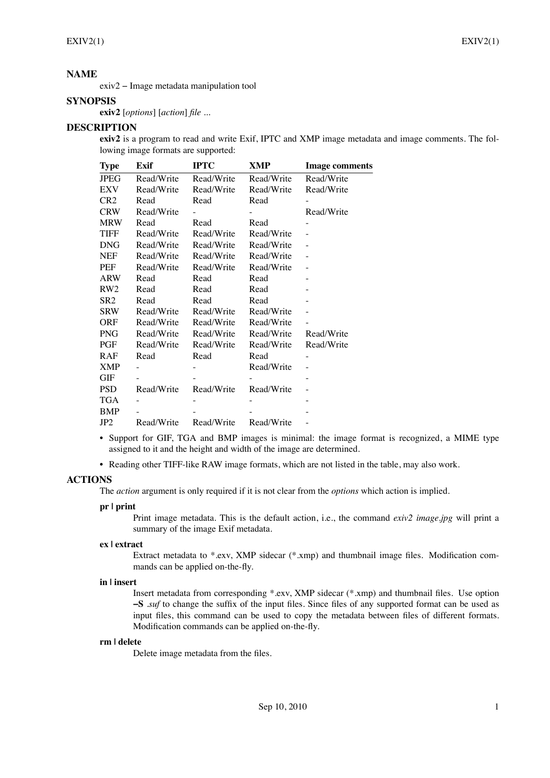# **NAME**

 $exiv2 - Image$  metadata manipulation tool

# **SYNOPSIS**

**exiv2** [*options*] [*action*] *file* ...

# **DESCRIPTION**

**exiv2** is a program to read and write Exif, IPTC and XMP image metadata and image comments. The following image formats are supported:

| <b>Type</b>     | Exif       | <b>IPTC</b> | XMP        | <b>Image comments</b> |
|-----------------|------------|-------------|------------|-----------------------|
| <b>JPEG</b>     | Read/Write | Read/Write  | Read/Write | Read/Write            |
| EXV             | Read/Write | Read/Write  | Read/Write | Read/Write            |
| CR <sub>2</sub> | Read       | Read        | Read       |                       |
| <b>CRW</b>      | Read/Write |             |            | Read/Write            |
| <b>MRW</b>      | Read       | Read        | Read       |                       |
| TIFF            | Read/Write | Read/Write  | Read/Write |                       |
| <b>DNG</b>      | Read/Write | Read/Write  | Read/Write |                       |
| <b>NEF</b>      | Read/Write | Read/Write  | Read/Write |                       |
| <b>PEF</b>      | Read/Write | Read/Write  | Read/Write |                       |
| <b>ARW</b>      | Read       | Read        | Read       |                       |
| RW <sub>2</sub> | Read       | Read        | Read       |                       |
| SR2             | Read       | Read        | Read       |                       |
| <b>SRW</b>      | Read/Write | Read/Write  | Read/Write |                       |
| <b>ORF</b>      | Read/Write | Read/Write  | Read/Write |                       |
| <b>PNG</b>      | Read/Write | Read/Write  | Read/Write | Read/Write            |
| PGF             | Read/Write | Read/Write  | Read/Write | Read/Write            |
| RAF             | Read       | Read        | Read       |                       |
| <b>XMP</b>      |            |             | Read/Write |                       |
| GIF             |            |             |            |                       |
| <b>PSD</b>      | Read/Write | Read/Write  | Read/Write |                       |
| <b>TGA</b>      |            |             |            |                       |
| <b>BMP</b>      |            |             |            |                       |
| JP <sub>2</sub> | Read/Write | Read/Write  | Read/Write |                       |

- Support for GIF, TGA and BMP images is minimal: the image format is recognized, a MIME type assigned to it and the height and width of the image are determined.
- Reading other TIFF-like RAW image formats, which are not listed in the table, may also work.

## **ACTIONS**

The *action* argument is only required if it is not clear from the *options* which action is implied.

### **pr | print**

Print image metadata. This is the default action, i.e., the command *exiv2 image.jpg* will print a summary of the image Exif metadata.

#### **ex | extract**

Extract metadata to  $*$ .exv, XMP sidecar  $(*.xmp)$  and thumbnail image files. Modification commands can be applied on-the-fly.

### **in | insert**

Insert metadata from corresponding \*.exv, XMP sidecar (\*.xmp) and thumbnail les. Use option  $\text{-}$ **S** *.suf* to change the suffix of the input files. Since files of any supported format can be used as input files, this command can be used to copy the metadata between files of different formats. Modification commands can be applied on-the-fly.

### **rm | delete**

Delete image metadata from the files.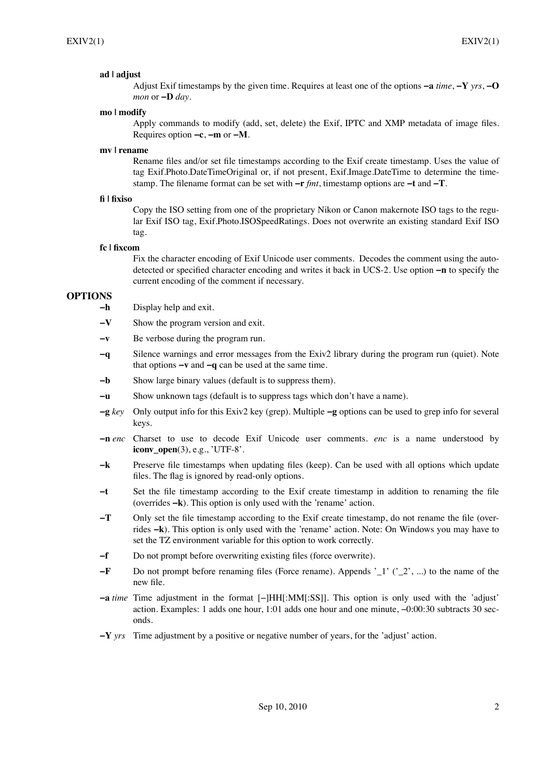### **ad | adjust**

Adjust Exif timestamps by the given time. Requires at least one of the options  $-a$  *time*,  $-Y$  *yrs*,  $-O$ *mon* or  $-D$  *day*.

#### **mo | modify**

Apply commands to modify (add, set, delete) the Exif, IPTC and XMP metadata of image files. Requires option **ïc**, **ïm** or **ïM**.

### **mv | rename**

Rename files and/or set file timestamps according to the Exif create timestamp. Uses the value of tag Exif.Photo.DateTimeOriginal or, if not present, Exif.Image.DateTime to determine the timestamp. The filename format can be set with  $-r$  *fmt*, timestamp options are  $-t$  and  $-T$ .

#### **| xiso**

Copy the ISO setting from one of the proprietary Nikon or Canon makernote ISO tags to the regular Exif ISO tag, Exif.Photo.ISOSpeedRatings. Does not overwrite an existing standard Exif ISO tag.

### **fc | xcom**

Fix the character encoding of Exif Unicode user comments. Decodes the comment using the autodetected or specified character encoding and writes it back in UCS-2. Use option **-n** to specify the current encoding of the comment if necessary.

## **OPTIONS**

- **-h** Display help and exit.
- $\mathbf{V}$  Show the program version and exit.
- $\rightarrow$  **Be verbose during the program run.**
- **ïq** Silence warnings and error messages from the Exiv2 library during the program run (quiet). Note that options  $-v$  and  $-q$  can be used at the same time.
- **-b** Show large binary values (default is to suppress them).
- $\frac{1}{\pi}$  Show unknown tags (default is to suppress tags which don't have a name).
- $-g$   $key$  Only output info for this Exiv2 key (grep). Multiple  $-g$  options can be used to grep info for several keys.
- **n** *n enc* Charset to use to decode Exif Unicode user comments. *enc* is a name understood by **iconv\_open**(3), e.g., 'UTF-8'.
- $-k$  Preserve file timestamps when updating files (keep). Can be used with all options which update files. The flag is ignored by read-only options.
- $-t$  Set the file timestamp according to the Exif create timestamp in addition to renaming the file (overrides  $-\mathbf{k}$ ). This option is only used with the 'rename' action.
- **T** Only set the file timestamp according to the Exif create timestamp, do not rename the file (overrides  $-k$ ). This option is only used with the 'rename' action. Note: On Windows you may have to set the TZ environment variable for this option to work correctly.
- $-f$  Do not prompt before overwriting existing files (force overwrite).
- $-F$  Do not prompt before renaming files (Force rename). Appends  $\cdot$  1' ( $\cdot$  2', ...) to the name of the new file.
- $\blacksquare$ **a** *time* Time adjustment in the format  $\lbrack \rbrack$ HH $\lbrack :$ MM $\lbrack :$ SS]]. This option is only used with the 'adjust' action. Examples: 1 adds one hour, 1:01 adds one hour and one minute,  $-0.00:30$  subtracts 30 seconds.
- $\mathbf{Y}$  *yrs* Time adjustment by a positive or negative number of years, for the 'adjust' action.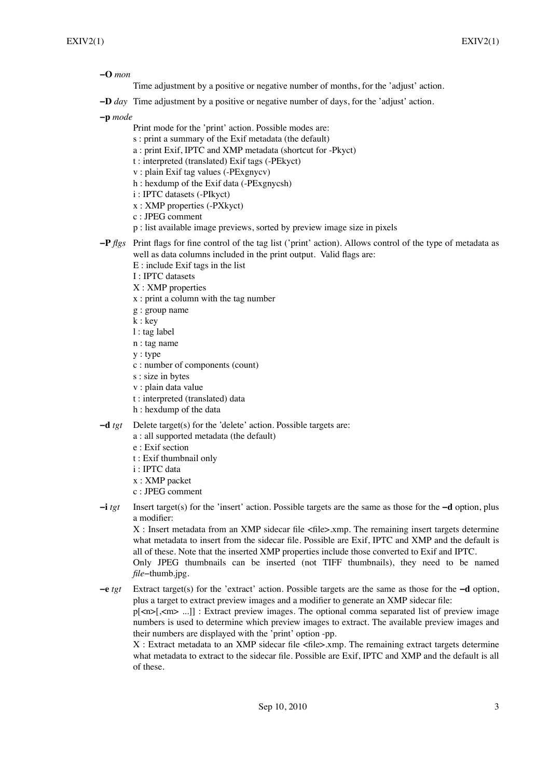$-$ **O** *mon* 

Time adjustment by a positive or negative number of months, for the 'adjust' action.

**-D** *day* Time adjustment by a positive or negative number of days, for the 'adjust' action.

**ïp** *mode*

- Print mode for the 'print' action. Possible modes are:
- s : print a summary of the Exif metadata (the default)
- a : print Exif, IPTC and XMP metadata (shortcut for -Pkyct)
- t : interpreted (translated) Exif tags (-PEkyct)
- v : plain Exif tag values (-PExgnycv)
- h : hexdump of the Exif data (-PExgnycsh)
- i : IPTC datasets (-PIkyct)
- x : XMP properties (-PXkyct)
- c : JPEG comment
- p : list available image previews, sorted by preview image size in pixels
- **-P**  $flgs$  Print flags for fine control of the tag list ( $\gamma$  print $\gamma$  action). Allows control of the type of metadata as well as data columns included in the print output. Valid flags are:
	- E : include Exif tags in the list
	- I : IPTC datasets
	- X : XMP properties
	- x : print a column with the tag number
	- g : group name
	- k : key
	- l : tag label
	- n : tag name
	- y : type
	- c : number of components (count)
	- s : size in bytes
	- v : plain data value
	- t : interpreted (translated) data
	- h : hexdump of the data
- $-d$  *tgt* Delete target(s) for the 'delete' action. Possible targets are:
	- a : all supported metadata (the default)
	- e : Exif section
	- t : Exif thumbnail only
	- i : IPTC data
	- x : XMP packet
	- c : JPEG comment
- $\div$ **i** *tgt* Insert target(s) for the 'insert' action. Possible targets are the same as those for the  $-d$  option, plus a modifier:

X : Insert metadata from an XMP sidecar file <file>.xmp. The remaining insert targets determine what metadata to insert from the sidecar file. Possible are Exif, IPTC and XMP and the default is all of these. Note that the inserted XMP properties include those converted to Exif and IPTC. Only JPEG thumbnails can be inserted (not TIFF thumbnails), they need to be named

*file*-thumb.jpg.

 $-e$  *tgt* Extract target(s) for the 'extract' action. Possible targets are the same as those for the  $-d$  option, plus a target to extract preview images and a modifier to generate an XMP sidecar file: p[<n>[,<m> ...]] : Extract preview images. The optional comma separated list of preview image numbers is used to determine which preview images to extract. The available preview images and their numbers are displayed with the 'print' option -pp.

 $X:$  Extract metadata to an XMP sidecar file  $\langle$  file $\rangle$ .xmp. The remaining extract targets determine what metadata to extract to the sidecar file. Possible are Exif, IPTC and XMP and the default is all of these.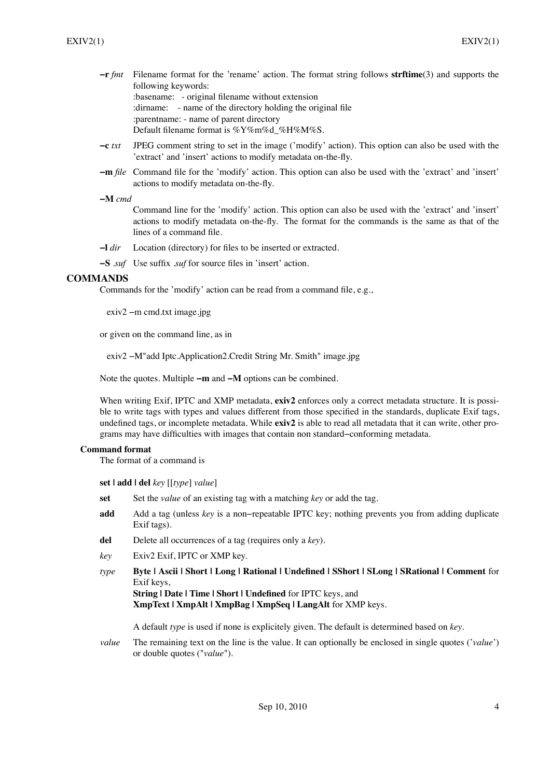**-r** *fmt* Filename format for the 'rename' action. The format string follows **strftime**(3) and supports the following keywords: : basename: - original filename without extension

: dirname: - name of the directory holding the original file :parentname: - name of parent directory Default filename format is %Y%m%d %H%M%S.

- **-c** *txt* JPEG comment string to set in the image ('modify' action). This option can also be used with the 'extract' and 'insert' actions to modify metadata on-the-fly.
- **-m** *file* Command file for the 'modify' action. This option can also be used with the 'extract' and 'insert' actions to modify metadata on-the-fly.

### **ïM** *cmd*

Command line for the  $\dot{\phi}$  modify<sup> $\dot{\phi}$ </sup> action. This option can also be used with the  $\dot{\phi}$  extract $\dot{\phi}$  and  $\dot{\phi}$  insert actions to modify metadata on-the-fly. The format for the commands is the same as that of the lines of a command file.

- $\lceil \frac{d}{dt} \rceil$  Location (directory) for files to be inserted or extracted.
- **-S** *.suf* Use suffix *.suf* for source files in 'insert' action.

# **COMMANDS**

Commands for the 'modify' action can be read from a command file, e.g.,

 $exiv2$  -m cmd.txt image.jpg

or given on the command line, as in

exiv2 – M"add Iptc.Application2.Credit String Mr. Smith" image.jpg

Note the quotes. Multiple  $-m$  and  $-M$  options can be combined.

When writing Exif, IPTC and XMP metadata, **exiv2** enforces only a correct metadata structure. It is possible to write tags with types and values different from those specified in the standards, duplicate Exif tags, undefined tags, or incomplete metadata. While **exiv2** is able to read all metadata that it can write, other programs may have difficulties with images that contain non standard–conforming metadata.

# **Command format**

The format of a command is

**set | add | del** *key* [[*type*] *value*]

- **set** Set the *value* of an existing tag with a matching *key* or add the tag.
- **add** Add a tag (unless *key* is a non-repeatable IPTC key; nothing prevents you from adding duplicate Exif tags).
- **del** Delete all occurrences of a tag (requires only a *key*).
- *key* Exiv2 Exif, IPTC or XMP key.
- *type* **Byte | Ascii | Short | Long | Rational | Undened | SShort | SLong | SRational | Comment** for Exif keys,

**String | Date | Time | Short | Undefined** for IPTC keys, and **XmpText | XmpAlt | XmpBag | XmpSeq | LangAlt** for XMP keys.

A default *type* is used if none is explicitely given. The default is determined based on *key*.

*value* The remaining text on the line is the value. It can optionally be enclosed in single quotes (*'value'*) or double quotes ("*value*").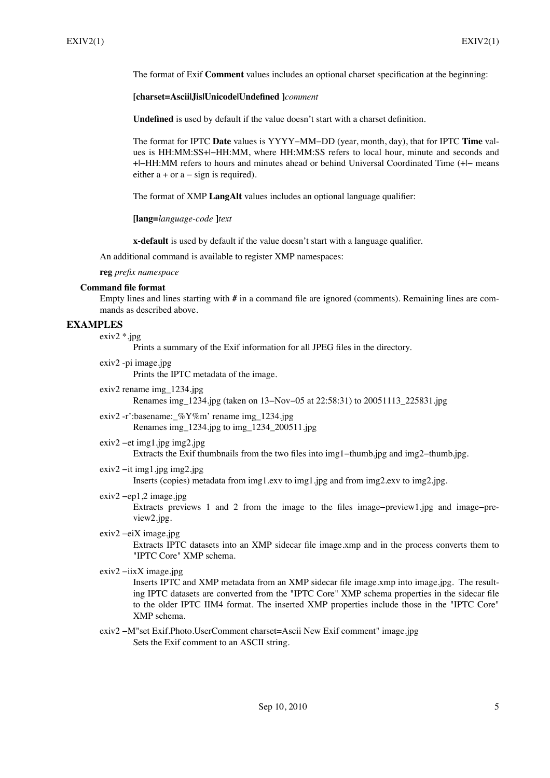The format of Exif **Comment** values includes an optional charset specification at the beginning:

### **[charset=Ascii|Jis|Unicode|Undened ]***comment*

**Undefined** is used by default if the value doesn't start with a charset definition.

The format for IPTC **Date** values is YYYY-MM-DD (year, month, day), that for IPTC **Time** values is HH:MM:SS+I-HH:MM, where HH:MM:SS refers to local hour, minute and seconds and + $\parallel$ -HH:MM refers to hours and minutes ahead or behind Universal Coordinated Time (+ $\parallel$ - means either  $a + or a - sign is required$ .

The format of XMP LangAlt values includes an optional language qualifier:

**[lang=***language-code* **]***text*

**x-default** is used by default if the value doesn't start with a language qualifier.

An additional command is available to register XMP namespaces:

#### **reg** *prefix namespace*

#### **Command file format**

Empty lines and lines starting with # in a command file are ignored (comments). Remaining lines are commands as described above.

# **EXAMPLES**

 $exiv2$  \*.jpg

Prints a summary of the Exif information for all JPEG files in the directory.

- exiv2 -pi image.jpg Prints the IPTC metadata of the image.
- exiv2 rename img\_1234.jpg Renames img  $1234$ .jpg (taken on  $13-Nov-05$  at  $22:58:31$ ) to  $20051113$   $225831$ .jpg
- exiv2 -r':basename:\_%Y%m' rename img\_1234.jpg Renames img\_1234.jpg to img\_1234\_200511.jpg
- $exiv2$  –et img1.jpg img2.jpg

Extracts the Exif thumbnails from the two files into img1-thumb.jpg and img2-thumb.jpg.

 $exiv2 - it$  img1.jpg img2.jpg

Inserts (copies) metadata from img1.exv to img1.jpg and from img2.exv to img2.jpg.

 $exiv2$  -ep1,2 image.jpg

Extracts previews 1 and 2 from the image to the files image-preview1.jpg and image-preview2.jpg.

 $exiv2 -eiX$  image.jpg

Extracts IPTC datasets into an XMP sidecar file image.xmp and in the process converts them to "IPTC Core" XMP schema.

 $exiv2 - iixX$  image.jpg

Inserts IPTC and XMP metadata from an XMP sidecar file image.xmp into image.jpg. The resulting IPTC datasets are converted from the "IPTC Core" XMP schema properties in the sidecar file to the older IPTC IIM4 format. The inserted XMP properties include those in the "IPTC Core" XMP schema.

exiv2 -M"set Exif.Photo.UserComment charset=Ascii New Exif comment" image.jpg Sets the Exif comment to an ASCII string.